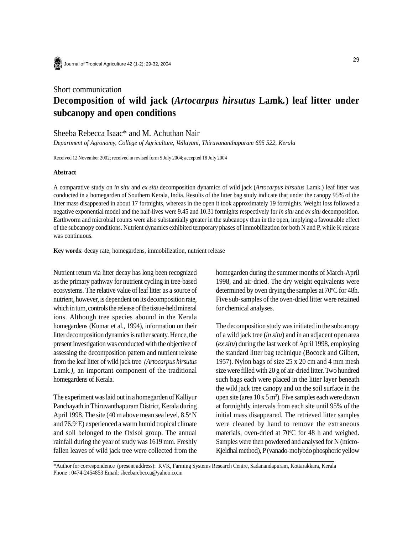

## Short communication **Decomposition of wild jack (***Artocarpus hirsutus* **Lamk***.***) leaf litter under subcanopy and open conditions**

## Sheeba Rebecca Isaac\* and M. Achuthan Nair

*Department of Agronomy, College of Agriculture, Vellayani, Thiruvananthapuram 695 522, Kerala*

Received 12 November 2002; received in revised form 5 July 2004; accepted 18 July 2004

## **Abstract**

A comparative study on *in situ* and *ex situ* decomposition dynamics of wild jack (*Artocarpus hirsutus* Lamk.) leaf litter was conducted in a homegarden of Southern Kerala, India. Results of the litter bag study indicate that under the canopy 95% of the litter mass disappeared in about 17 fortnights, whereas in the open it took approximately 19 fortnights. Weight loss followed a negative exponential model and the half-lives were 9.45 and 10.31 fortnights respectively for *in situ* and *ex situ* decomposition. Earthworm and microbial counts were also substantially greater in the subcanopy than in the open, implying a favourable effect of the subcanopy conditions. Nutrient dynamics exhibited temporary phases of immobilization for both N and P, while K release was continuous.

**Key words**: decay rate, homegardens, immobilization, nutrient release

Nutrient return via litter decay has long been recognized as the primary pathway for nutrient cycling in tree-based ecosystems. The relative value of leaf litter as a source of nutrient, however, is dependent on its decomposition rate, which in turn, controls the release of the tissue-held mineral ions. Although tree species abound in the Kerala homegardens (Kumar et al., 1994), information on their litter decomposition dynamics is rather scanty. Hence, the present investigation was conducted with the objective of assessing the decomposition pattern and nutrient release from the leaf litter of wild jack tree *(Artocarpus hirsutus* Lamk*.)*, an important component of the traditional homegardens of Kerala.

The experiment was laid out in a homegarden of Kalliyur Panchayath in Thiruvanthapuram District, Kerala during April 1998. The site  $(40 \text{ m}$  above mean sea level,  $8.5^{\circ}$  N and  $76.9^{\circ}$ E) experienced a warm humid tropical climate and soil belonged to the Oxisol group. The annual rainfall during the year of study was 1619 mm. Freshly fallen leaves of wild jack tree were collected from the homegarden during the summer months of March-April 1998, and air-dried. The dry weight equivalents were determined by oven drying the samples at  $70^{\circ}$ C for 48h. Five sub-samples of the oven-dried litter were retained for chemical analyses.

The decomposition study was initiated in the subcanopy of a wild jack tree (*in situ*) and in an adjacent open area (*ex situ*) during the last week of April 1998, employing the standard litter bag technique (Bocock and Gilbert, 1957). Nylon bags of size 25 x 20 cm and 4 mm mesh size were filled with 20 g of air-dried litter. Two hundred such bags each were placed in the litter layer beneath the wild jack tree canopy and on the soil surface in the open site (area  $10 \times 5$  m<sup>2</sup>). Five samples each were drawn at fortnightly intervals from each site until 95% of the initial mass disappeared. The retrieved litter samples were cleaned by hand to remove the extraneous materials, oven-dried at 70°C for 48 h and weighed. Samples were then powdered and analysed for N (micro-Kjeldhal method), P (vanado-molybdo phosphoric yellow

\*Author for correspondence (present address): KVK, Farming Systems Research Centre, Sadanandapuram, Kottarakkara, Kerala Phone : 0474-2454853 Email: sheebarebecca@yahoo.co.in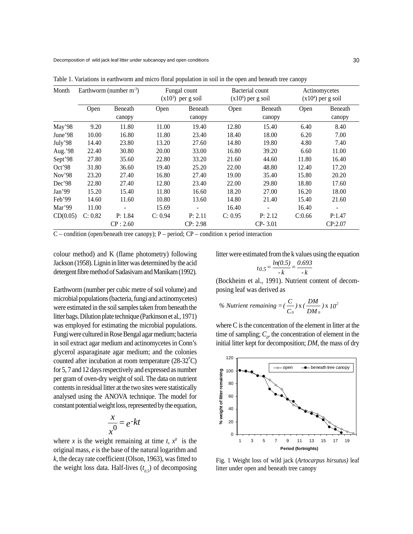Decomposition of wild jack leaf litter under subcanopy and open conditions

| Month    | Earthworm (number $m^{-3}$ ) |          | Fungal count<br>$(x103)$ per g soil |          | Bacterial count<br>$(x106)$ per g soil |         | Actinomycetes<br>$(x104)$ per g soil |         |
|----------|------------------------------|----------|-------------------------------------|----------|----------------------------------------|---------|--------------------------------------|---------|
|          | Open                         | Beneath  | Open                                | Beneath  | Open                                   | Beneath | Open                                 | Beneath |
|          |                              | canopy   |                                     | canopy   |                                        | canopy  |                                      | canopy  |
| May'98   | 9.20                         | 11.80    | 11.00                               | 19.40    | 12.80                                  | 15.40   | 6.40                                 | 8.40    |
| June'98  | 10.00                        | 16.80    | 11.80                               | 23.40    | 18.40                                  | 18.00   | 6.20                                 | 7.00    |
| July'98  | 14.40                        | 23.80    | 13.20                               | 27.60    | 14.80                                  | 19.80   | 4.80                                 | 7.40    |
| Aug.'98  | 22.40                        | 30.80    | 20.00                               | 33.00    | 16.80                                  | 39.20   | 6.60                                 | 11.00   |
| Sept'98  | 27.80                        | 35.60    | 22.80                               | 33.20    | 21.60                                  | 44.60   | 11.80                                | 16.40   |
| Oct'98   | 31.80                        | 36.60    | 19.40                               | 25.20    | 22.00                                  | 48.80   | 12.40                                | 17.20   |
| Nov'98   | 23.20                        | 27.40    | 16.80                               | 27.40    | 19.00                                  | 35.40   | 15.80                                | 20.20   |
| Dec'98   | 22.80                        | 27.40    | 12.80                               | 23.40    | 22.00                                  | 29.80   | 18.80                                | 17.60   |
| Jan'99   | 15.20                        | 15.40    | 11.80                               | 16.60    | 18.20                                  | 27.00   | 16.20                                | 18.00   |
| Feb'99   | 14.60                        | 11.60    | 10.80                               | 13.60    | 14.80                                  | 21.40   | 15.40                                | 21.60   |
| Mar'99   | 11.00                        |          | 15.69                               |          | 16.40                                  |         | 16.40                                |         |
| CD(0.05) | C: 0.82                      | P: 1.84  | C: 0.94                             | P: 2.11  | C: 0.95                                | P: 2.12 | C:0.66                               | P:1.47  |
|          |                              | CP: 2.60 |                                     | CP: 2.98 |                                        | CP-3.01 |                                      | CP:2.07 |

Table 1. Variations in earthworm and micro floral population in soil in the open and beneath tree canopy

C – condition (open/beneath tree canopy); P – period; CP – condition x period interaction

colour method) and K (flame photometry) following Jackson (1958). Lignin in litter was determined by the acid detergent fibre method of Sadasivam and Manikam (1992).

Earthworm (number per cubic metre of soil volume) and microbial populations (bacteria, fungi and actinomycetes) were estimated in the soil samples taken from beneath the litter bags. Dilution plate technique (Parkinson et al*.,* 1971) was employed for estimating the microbial populations. Fungi were cultured in Rose Bengal agar medium; bacteria in soil extract agar medium and actinomycetes in Conn's glycerol asparaginate agar medium; and the colonies counted after incubation at room temperature  $(28-32^{\circ}C)$ for 5, 7 and 12 days respectively and expressed as number per gram of oven-dry weight of soil. The data on nutrient contents in residual litter at the two sites were statistically analysed using the ANOVA technique. The model for constant potential weight loss, represented by the equation,

$$
\frac{x}{x^0} = e^{-kt}
$$

where *x* is the weight remaining at time  $t$ ,  $x^0$  is the original mass, *e* is the base of the natural logarithm and *k*, the decay rate coefficient (Olson, 1963), was fitted to the weight loss data. Half-lives (*t 0.5*) of decomposing

litter were estimated from the k values using the equation

$$
t_{0.5} = \frac{\ln(0.5)}{-k} = \frac{0.693}{-k}
$$

(Bockheim et al., 1991). Nutrient content of decomposing leaf was derived as

% *Nutrient remaining* = 
$$
(\frac{C}{C_0})
$$
 x  $(\frac{DM}{DM_0})$  x  $10^2$ 

where C is the concentration of the element in litter at the time of sampling;  $C_{\rho}$ , the concentration of element in the initial litter kept for decomposition; *DM*, the mass of dry



Fig. 1 Weight loss of wild jack (*Artocarpus hirsutus)* leaf litter under open and beneath tree canopy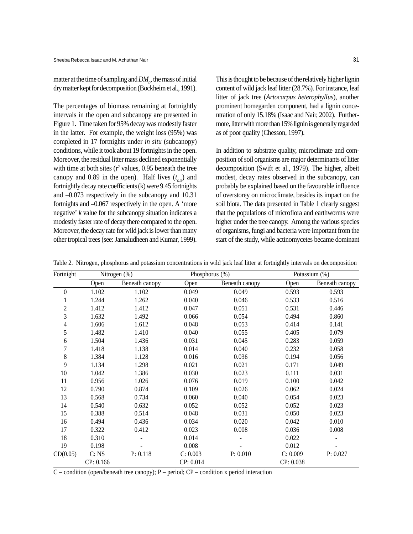matter at the time of sampling and  $DM_{\rho}^{\vphantom{\dagger}}$ , the mass of initial dry matter kept for decomposition (Bockheim et al., 1991).

The percentages of biomass remaining at fortnightly intervals in the open and subcanopy are presented in Figure 1. Time taken for 95% decay was modestly faster in the latter. For example, the weight loss (95%) was completed in 17 fortnights under *in situ* (subcanopy) conditions, while it took about 19 fortnights in the open. Moreover, the residual litter mass declined exponentially with time at both sites  $(r^2 \text{ values}, 0.95 \text{ beneath the tree})$ canopy and 0.89 in the open). Half lives  $(t_{0.5})$  and fortnightly decay rate coefficients (k) were 9.45 fortnights and –0.073 respectively in the subcanopy and 10.31 fortnights and –0.067 respectively in the open. A 'more negative' *k* value for the subcanopy situation indicates a modestly faster rate of decay there compared to the open. Moreover, the decay rate for wild jack is lower than many other tropical trees (see: Jamaludheen and Kumar, 1999).

This is thought to be because of the relatively higher lignin content of wild jack leaf litter (28.7%). For instance, leaf litter of jack tree (*Artocarpus heterophyllus*), another prominent homegarden component, had a lignin concentration of only 15.18% (Isaac and Nair, 2002). Furthermore, litter with more than 15% lignin is generally regarded as of poor quality (Chesson, 1997).

In addition to substrate quality, microclimate and composition of soil organisms are major determinants of litter decomposition (Swift et al., 1979). The higher, albeit modest, decay rates observed in the subcanopy, can probably be explained based on the favourable influence of overstorey on microclimate, besides its impact on the soil biota. The data presented in Table 1 clearly suggest that the populations of microflora and earthworms were higher under the tree canopy. Among the various species of organisms, fungi and bacteria were important from the start of the study, while actinomycetes became dominant

| Fortnight        | Nitrogen (%) |                | Phosphorus (%) |                | Potassium (%) |                |
|------------------|--------------|----------------|----------------|----------------|---------------|----------------|
|                  | Open         | Beneath canopy | Open           | Beneath canopy | Open          | Beneath canopy |
| $\boldsymbol{0}$ | 1.102        | 1.102          | 0.049          | 0.049          | 0.593         | 0.593          |
| 1                | 1.244        | 1.262          | 0.040          | 0.046          | 0.533         | 0.516          |
| $\overline{c}$   | 1.412        | 1.412          | 0.047          | 0.051          | 0.531         | 0.446          |
| $\overline{3}$   | 1.632        | 1.492          | 0.066          | 0.054          | 0.494         | 0.860          |
| 4                | 1.606        | 1.612          | 0.048          | 0.053          | 0.414         | 0.141          |
| 5                | 1.482        | 1.410          | 0.040          | 0.055          | 0.405         | 0.079          |
| 6                | 1.504        | 1.436          | 0.031          | 0.045          | 0.283         | 0.059          |
| 7                | 1.418        | 1.138          | 0.014          | 0.040          | 0.232         | 0.058          |
| 8                | 1.384        | 1.128          | 0.016          | 0.036          | 0.194         | 0.056          |
| 9                | 1.134        | 1.298          | 0.021          | 0.021          | 0.171         | 0.049          |
| 10               | 1.042        | 1.386          | 0.030          | 0.023          | 0.111         | 0.031          |
| 11               | 0.956        | 1.026          | 0.076          | 0.019          | 0.100         | 0.042          |
| 12               | 0.790        | 0.874          | 0.109          | 0.026          | 0.062         | 0.024          |
| 13               | 0.568        | 0.734          | 0.060          | 0.040          | 0.054         | 0.023          |
| 14               | 0.540        | 0.632          | 0.052          | 0.052          | 0.052         | 0.023          |
| 15               | 0.388        | 0.514          | 0.048          | 0.031          | 0.050         | 0.023          |
| 16               | 0.494        | 0.436          | 0.034          | 0.020          | 0.042         | 0.010          |
| 17               | 0.322        | 0.412          | 0.023          | 0.008          | 0.036         | 0.008          |
| 18               | 0.310        |                | 0.014          |                | 0.022         |                |
| 19               | 0.198        |                | 0.008          |                | 0.012         |                |
| CD(0.05)         | C: NS        | P: 0.118       | C: 0.003       | P: 0.010       | C: 0.009      | P: 0.027       |
|                  | CP: 0.166    |                | CP: 0.014      |                | CP: 0.038     |                |

Table 2. Nitrogen, phosphorus and potassium concentrations in wild jack leaf litter at fortnightly intervals on decomposition

C – condition (open/beneath tree canopy); P – period; CP – condition x period interaction